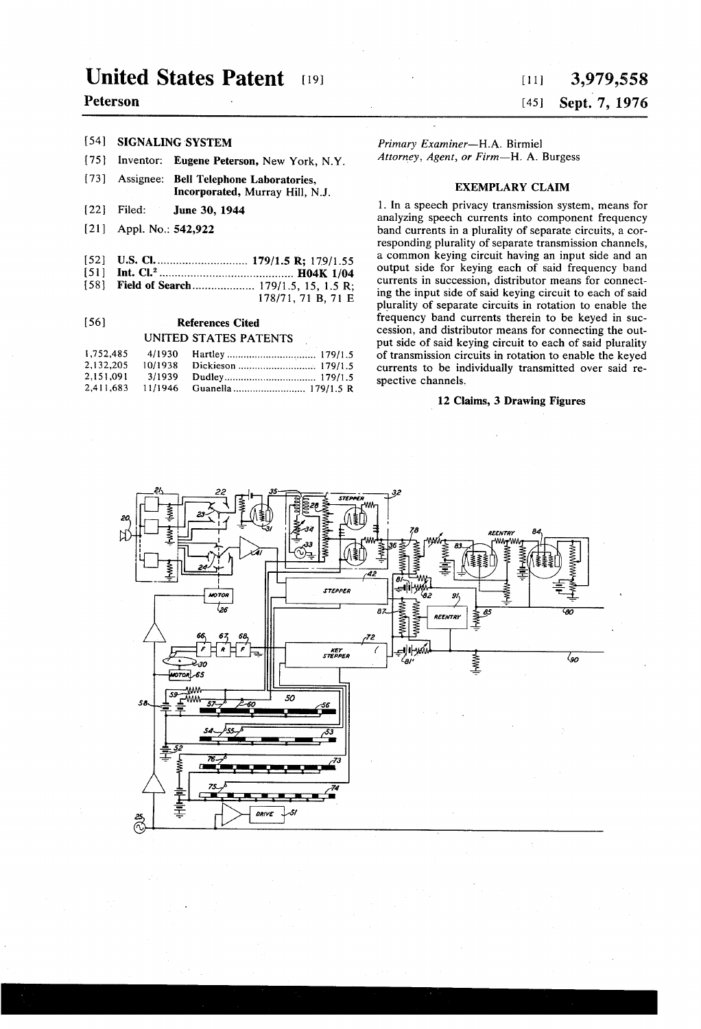# United States Patent [19] [11] 3,979,558

- [75] Inventor: Eugene Peterson, New York, N.Y. Attorney, Agent, or Firm-H. A. Burgess
- [73] Assignee: Bell Telephone Laboratories, Den Telephone Eaboratories,<br>
Incorporated, Murray Hill, N.J. EXEMPLARY CLAIM
- 
- 
- $[52]$
- - -

|  |  | of transmission cir                     |
|--|--|-----------------------------------------|
|  |  | currents to be in<br>spective channels. |
|  |  |                                         |
|  |  |                                         |

## Peterson [45] Sept. 7, 1976

[54] SIGNALING SYSTEM Primary Examiner-H.A. Birmiel

[22] Filed: June 30, 1944 1. In a speech privacy transmission system, means for analyzing speech currents into component frequency [21] Appl. No.: 542,922 band currents in a plurality of separate circuits, a corrent of separate circuits, a corrent of separate circuits, a corrent of separate circuits, a corrent of separate transmission channels, responding plurality of separate transmission channels, \_ a common keying circuit having an input side and an ........................... .. 179/1.5 Output Side for keying each of said frequency band [58] F. ' ' ' ' ' ' ' ' ' ' ' ' ' ' ' ' ' ' ' ' ' ' ' ' ' ' ' ' ' ' ' ' ' " \_ currents in succession, distributor means for connect leld of Search.......................... 179/1.5, 15, 1.5 R;<br>178/71, 71 B, 71 E ing the input side of said keying circuit to each of said<br>plurality of separate circuits in rotation to enable the [56] References Cited frequency band currents therein to be keyed in succession, and distributor means for connecting the out UNITED STATES PATENTS put side of said keying circuit to each of said plurality of transmission circuits in rotation to enable the keyed currents to be individually transmitted over said respective channels.

### 12 Claims, 3 Drawing Figures

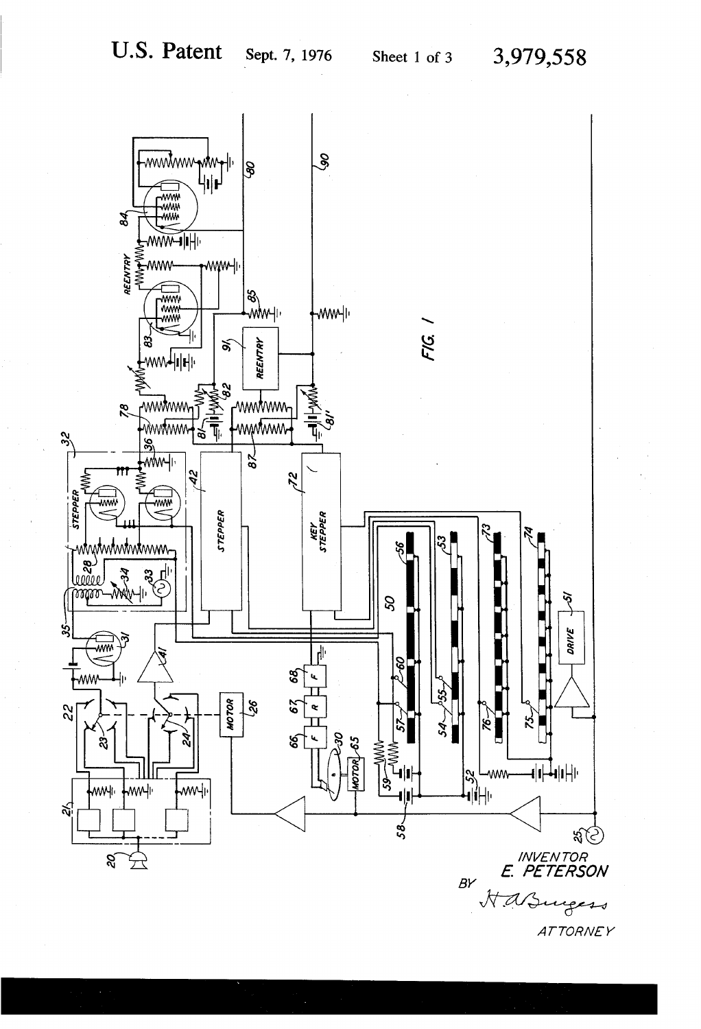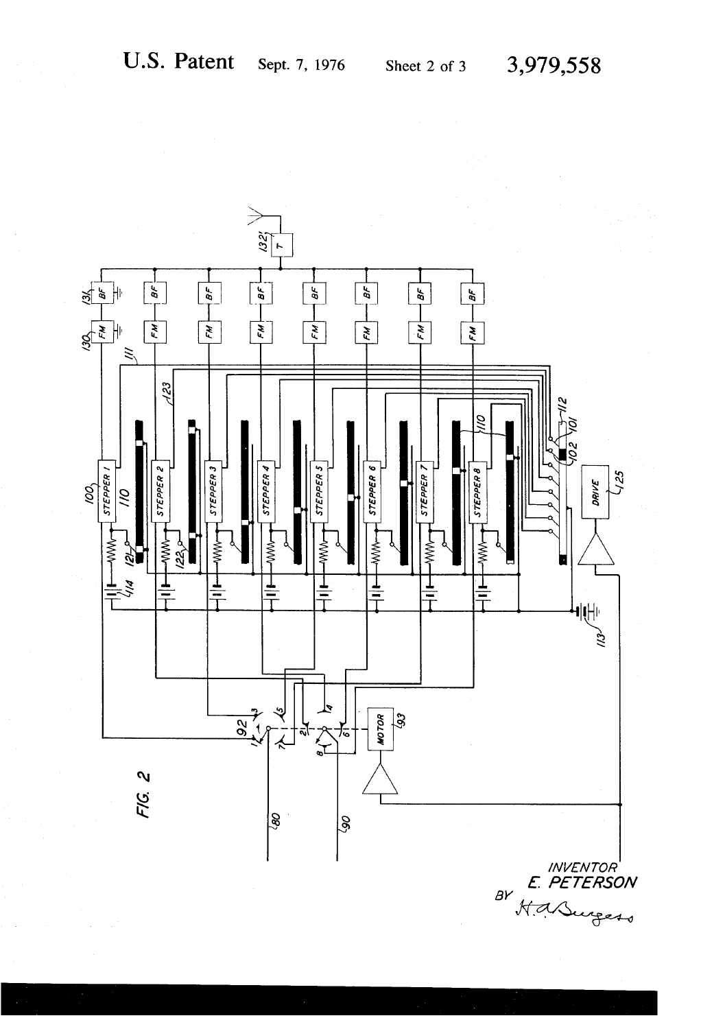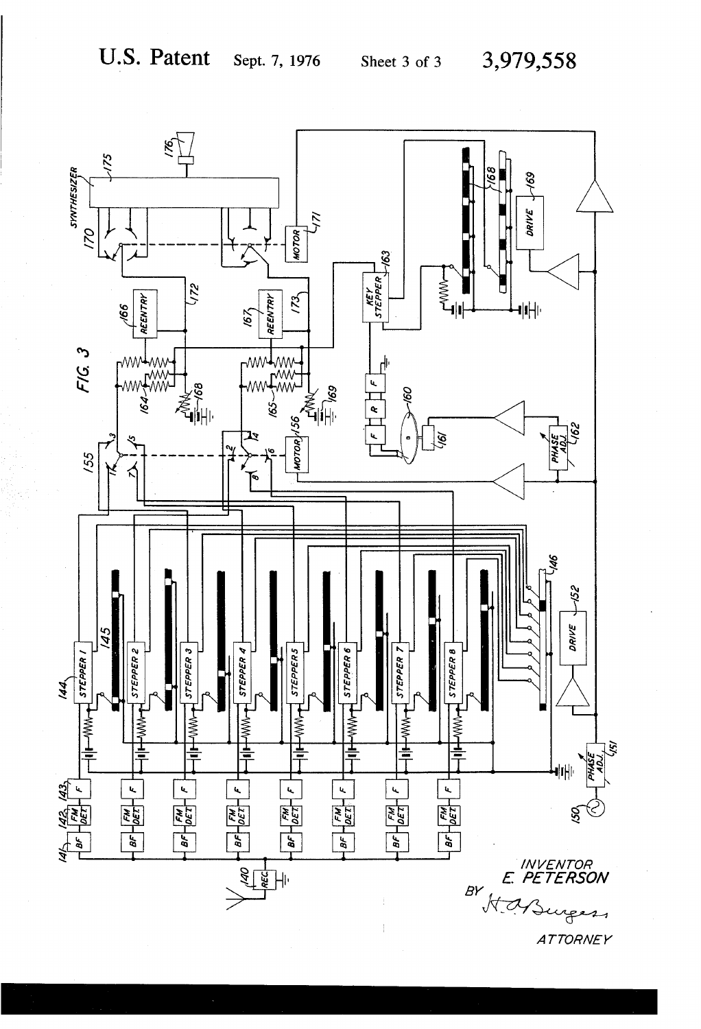

**ATTORNEY**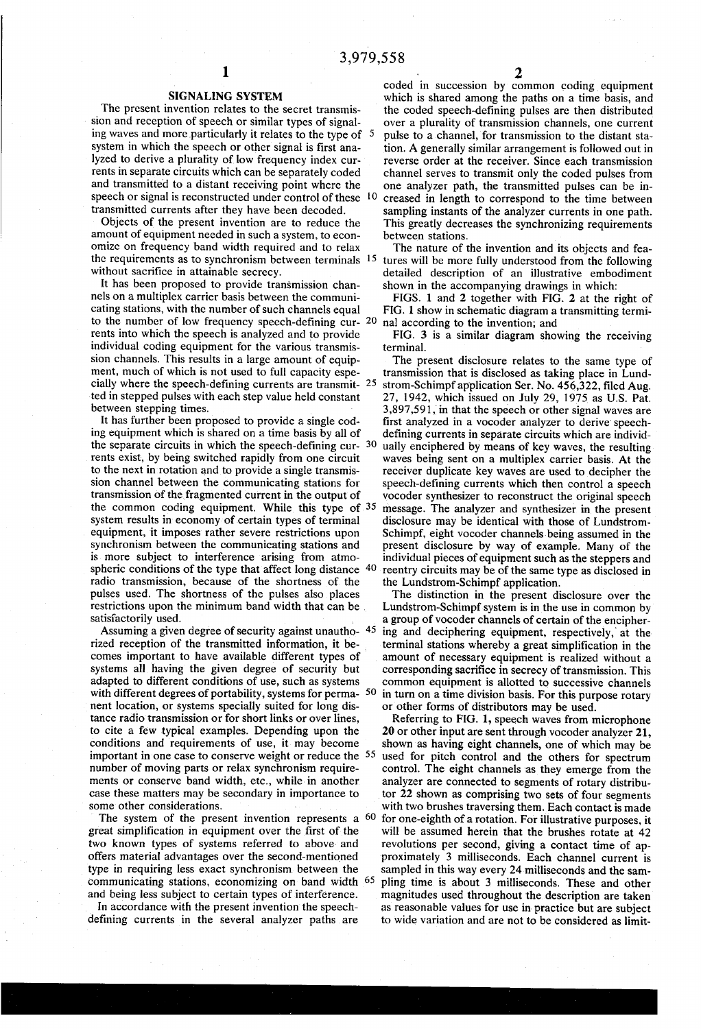## SIGNALING SYSTEM

The present invention relates to the secret transmis sion and reception of speech or similar types of signal ing waves and more particularly it relates to the type of 5 system in which the speech or other signal is first analyzed to derive a plurality of low frequency index cur rents in separate circuits which can be separately coded and transmitted to a distant receiving point where the speech or signal is reconstructed under control of these 10 transmitted currents after they have been decoded.

Objects of the present invention are to reduce the amount of equipment needed in such a system, to econ omize on frequency band width required and to relax the requirements as to synchronism between terminals 15 without sacrifice in attainable secrecy.

It has been proposed to provide transmission chan nels on a multiplex carrier basis between the communi cating stations, with the number of such channels equal to the number of low frequency speech-defining cur-  $20$ rents into which the speech is analyzed and to provide individual coding equipment for the various transmission channels. This results in a large amount of equip ment, much of which is not used to full capacity espe cially where the speech-defining currents are transmit-  $25$ ted in stepped pulses with each step value held constan between stepping times.

It has further been proposed to provide a single cod ing equipment which is shared on a time basis by all of the separate circuits in which the speech-defining cur-  $30$ rents exist, by being switched rapidly from one circuit to the next in'rotation and to provide a single transmis sion channel between the communicating stations for transmission of the fragmented current in the output of the common coding equipment. While this type of  $35$ system results in economy of certain types of terminal equipment, it imposes rather severe restrictions upon synchronism between the communicating stations and is more subject to interference arising from atmospheric conditions of the type that affect long distance 40 radio transmission, because of the shortness of the pulses used. The shortness of the pulses also places restrictions upon the minimum band width that can be satisfactorily used. .

Assuming a given degree of security against unautho- 45 rized reception of the transmitted information, it be- \ comes important to have available different types of systems all having the given degree of security but adapted to different conditions of use, such as systems with different degrees of portability, systems for perma-  $\,50$ nent location, or systems specially suited for long dis tance radio transmission or for short links or over lines, to cite a few typical examples. Depending upon the conditions and requirements of use, it may become important in one case to conserve weight or reduce the 55 number of moving parts or relax synchronism require ments or conserve band width, etc., while in another case these matters may be secondary in importance to some other considerations.

The system of the present invention represents a  $60$ great simplification in equipment over the first of the two known types of systems referred to above- and offers material advantages over the second-mentioned type in requiring less exact synchronism between the communicating stations, economizing on band width 65 and being less subject to certain types of interference.

In accordance with the present invention the speech defining currents in the several analyzer paths are

coded in succession by common coding equipment which is shared among the paths on a time basis, and the coded speech-defining pulses are then distributed over a plurality of transmission channels, one current pulse to a channel, for transmission to the distant sta tion. A generally similar arrangement is followed out in reverse order at the receiver. Since each transmission channel serves to transmit only the coded pulses from one analyzer path, the transmitted pulses can be in creased in length to correspond to the time between sampling instants of the analyzer currents in one path. This greatly decreases the synchronizing requirements between stations.

The nature of the invention and its objects and fea tures will be more fully understood from the following detailed description of an illustrative embodiment shown in the accompanying drawings in which:

FIGS. 1 and 2 together with FIG. 2 at the right of FIG. 1 show in schematic diagram a transmitting termi nal according to the invention; and

FIG. 3 is a similar diagram showing the receiving terminal.

The present disclosure relates to the same type of transmission that is disclosed as taking place in Lund strom-Schimpf application Ser. No.  $456,322$ , filed Aug. 27, 1942, which issued on July 29, 1975 as U.S. Pat. 3,897,591, in that the speech or other signal waves are first analyzed in a vocoder analyzer to derive speechdefining currents in separate circuits which are individually enciphered by means of key waves, the resulting waves being sent on a multiplex carrier basis. At the receiver duplicate key waves are used to decipher the speech-defining currents which then control a speech vocoder synthesizer to reconstruct the original speech message. The analyzer and synthesizer in the present disclosure may be identical with those of Lundstrom Schimpf, eight vocoder channels being assumed in the present disclosure by way of example. Many of the individual pieces of equipment such as the steppers and reentry circuits may be of the same type as disclosed in the Lundstrom-Schimpf application.

The distinction in the present disclosure over the Lundstrom-Schimpf system is in the use in common by a group of vocoder channels of certain of the encipher ing and deciphering equipment, respectively, at the terminal stations whereby a great simplification in the amount of necessary equipment is realized without a common equipment is allotted to successive channels in turn on a time division basis. For this purpose rotary or other forms of distributors may be used.

Referring to FIG. 1, speech waves from microphone 20 or other input are sent through vocoder analyzer 21, shown as having eight channels, one of which may be used for pitch control and the others for spectrum control. The eight channels as they emerge from the analyzer are connected to segments of rotary distribu tor 22 shown as comprising two sets of four segments with two brushes traversing them. Each contact is made for one-eighth of a rotation. For illustrative purposes, it will be assumed herein that the brushes rotate at 42 revolutions per second, giving a contact time of approximately 3 milliseconds. Each channel current is sampled in this way every 24 milliseconds and the sam pling time is about 3 milliseconds. These and other magnitudes used throughout the description are taken as reasonable values for use in practice but are subject to wide variation and are not to be considered as limit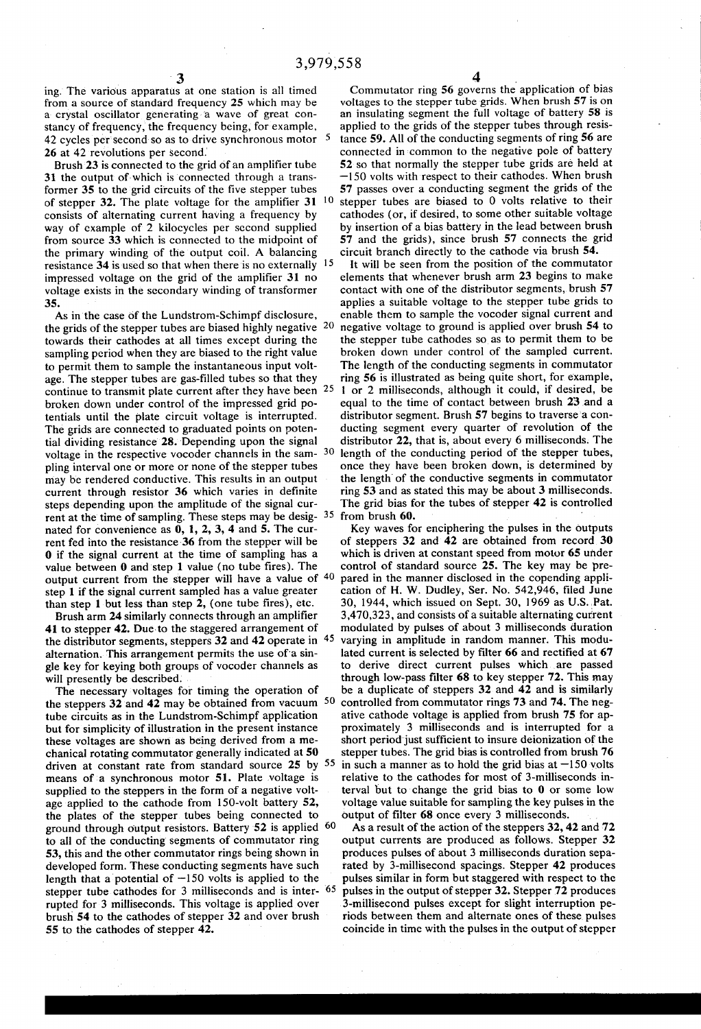ing. The various apparatus at one station is all timed from a source of standard frequency 25 which may be a crystal oscillator generating-a wave of great con stancy of frequency, the frequency being, for example, 42 cycles per second so as to drive synchronous motor 5 26 at 42 revolutions per second.

Brush 23 is connected to the grid of an amplifier tube 31 the output of-which is connected through a trans former 35 to the grid circuits of the five stepper tubes of stepper  $32$ . The plate voltage for the amplifier  $31$ consists of alternating current having a frequency by way of example of 2 kilocycles per second supplied from source 33 which is connected to the midpoint of the primary winding of the output coil. A balancing resistance 34 is used so that when there is no externally  $15$ impressed voltage on the grid of the amplifier 31 no voltage exists in the secondary winding of transformer 35. 0

As in the case of the Lundstrom-Schimpf disclosure, the grids of the stepper tubes are biased highly negative 20 towards their cathodes at all times except during the sampling period when they are biased to the right value to permit them to sample the instantaneous input volt age. The stepper tubes are gas-filled tubes so that they continue to transmit plate current after they have been 25 broken down under control of the impressed grid po tentials until the plate circuit voltage is interrupted. The grids are connected to graduated points on poten tial dividing resistance' 28. Depending upon the signal voltage in the respective vocoder channels in the sam- 30 pling interval one or more or none of the stepper tubes may be rendered conductive. This results in an output current through resistor  $36$  which varies in definite steps depending upon the amplitude of the signal cur rent at the time of sampling. These steps may be desig- 35 nated for convenience as 0, l, 2, 3, 4 and 5. The cur rent fed into the resistance 36 from the stepper will be 0 if the signal current at the time of sampling has a value between  $0$  and step 1 value (no tube fires). The output current from the stepper will have a value of 40 step 1 if the signal current sampled has a value greater than step 1 but less than step  $2$ , (one tube fires), etc.

Brush arm 24 similarly connects through an amplifier 41 to stepper 42. Due to the staggered arrangement of the distributor segments, steppers 32 and 42 operate in 45 alternation. This arrangement permits the use of 'a sin gle key for keying both groups of vocoder channels as will presently be described.

The necessary voltages for timing the operation of the steppers  $32$  and  $42$  may be obtained from vacuum  $50$ tube circuits as in the Lundstrom-Schimpf application but for simplicity of illustration in the present instance these voltages are shown as being derived from a me chanical rotating commutator generally indicated at 50 driven at constant rate from standard source 25 by 55 means of a synchronous motor 51. Plate voltage is supplied to the steppers in the form of a negative volt age applied to the cathode from ISO-volt battery 52, the plates of the stepper tubes being connected to ground through output resistors. Battery 52 is applied  $60$ to all of the conducting segments of commutator ring 53, this and the other commutator rings being shown in developed form. These conducting segments have such length that a potential of –150 volts is applied to the stepper tube cathodes for 3 milliseconds and is inter rupted for 3 milliseconds. This voltage is applied over brush 54 to the cathodes of stepper 32 and over brush 55 to the cathodes of stepper 42.

Commutator ring 56 governs the application of bias voltages to the stepper tube grids. When brush 57 is on an insulating segment the full voltage of battery 58 is applied to the grids of the stepper tubes through resis tance 59. All of the conducting segments of ring 56 are connected in common to the negative pole of battery 52 so that normally the stepper tube grids are held at —l50 volts with respect to their cathodes. When brush 57 passes over a conducting segment the grids of the stepper tubes are biased to 0 volts relative to their cathodes (or, if desired, to some other suitable voltage by insertion of a bias battery in the lead between brush 57 and the grids), since brush 57 connects the grid circuit branch directly to the cathode via brush 54.

It will be seen from the position of the commutator elements that whenever brush arm 23 begins to make contact with one of the distributor segments, brush 57 applies a suitable voltage to the stepper tube grids to enable them to sample the vocoder signal current and negative voltage to ground is applied over brush 54 to the stepper tube cathodes so as to permit them to be broken down under control of the sampled current. The length of the conducting segments in commutator ring 56 is illustrated as being quite short, for example, 1 or 2 milliseconds, although it could, if desired, be equal to the time of contact between brush 23 and a distributor segment. Brush 57 begins to traverse'a con ducting segment every quarter of revolution of the distributor 22, that is, about every 6 milliseconds. The length of the conducting period of the stepper tubes, once they have been broken down, is determined by the length' of the conductive segments in commutator ring 53 and as stated this may be about 3 milliseconds. The grid bias for the tubes of stepper 42 is controlled from brush 60.

Key waves for enciphering the pulses in the outputs of steppers 32 and 42 are obtained from record 30 which is driven at constant speed from motor 65 under control of standard source 25. The key may be pre pared in the manner disclosed in the copending appli cation of H. W. Dudley, Ser. No. 542,946, filed June 30, 1944, which issued on Sept. 30, 1969 as U.S..Pat. 3,470,323, and consists of a suitable alternating current modulated by pulses of about 3 milliseconds duration varying in amplitude in random manner. This modu lated current is selected by filter 66 and rectified at 67 to derive direct current pulses which are passed through low-pass filter  $68$  to key stepper 72. This may be a duplicate of steppers 32 and 42 and is similarly controlled from commutator rings 73 and 74. The neg ative cathode voltage is applied from brush 75 for ap proximately 3 milliseconds and is interrupted for a short period'just sufficient to insure deionization of the stepper tubes. The grid bias is controlled from brush 76 in such a manner as to hold the grid bias at  $-150$  volts relative to the cathodes for most of 3-milliseconds in terval but to change the grid bias to 0 or some low voltage value suitable for sampling the key pulses in the output of filter 68 once every 3 milliseconds.

As a result of the action of the steppers 32, 42 and 72 output currents are produced as follows. Stepper 32 produces pulses of about 3 milliseconds duration sepa rated by 3-millisecond spacings. Stepper 42 produces pulses similar in form but staggered with respect to the pulses in the output of stepper 32. Stepper 72 produces 3-millisecond pulses except for slight interruption pe riods between them and alternate ones of these pulses coincide in time with the pulses in the output of stepper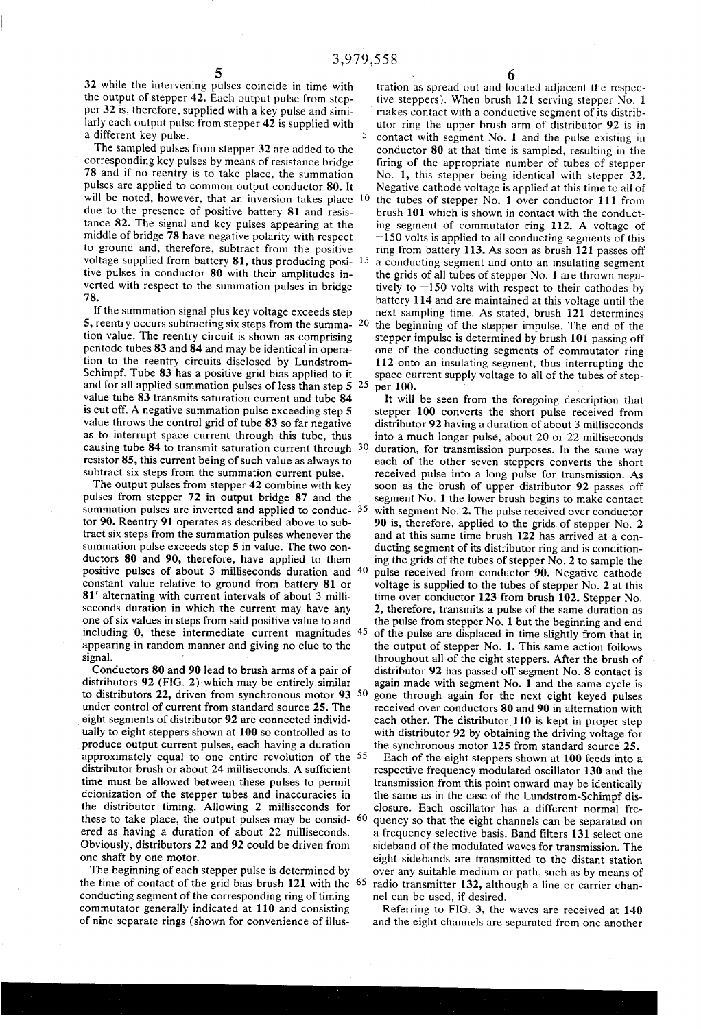32 while the intervening pulses coincide in time with the output of stepper 42. Each output pulse from step per 32 is, therefore, supplied with a key pulse and similarly each output pulse from stepper 42 is supplied with a different key pulse.

The sampled pulses from stepper 32 are added to the corresponding key pulses by means of resistance bridge ' 78 and if no reentry is to take place, the summation pulses are applied to common output conductor 80. It will be noted, however, that an inversion takes place 10 due to the presence of positive battery 81 and resis tance 82. The signal and key pulses appearing at the middle of bridge 78 have negative polarity with respect to ground and, therefore, subtract from the positive voltage supplied from battery 81, thus producing posi- 15 tive pulses in conductor 80 with their amplitudes in verted with respect to the summation pulses in bridge 78.

If the summation signal plus key voltage exceeds step 5, reentry occurs subtracting six steps from the summa- 20 tion value. The reentry circuit is shown as comprising pentode tubes 83 and 84 and may be identical in opera tion to the reentry circuits disclosed by Lundstrom Schimpf. Tube 83 has a positive grid bias applied to it and for all applied summation pulses of less than step 5 25 value tube 83 transmits saturation current and tube 84 is cut off. A negative summation pulse exceeding step 5 value throws the control grid of tube 83 so far negative as to interrupt space current through this tube, thus causing tube 84 to transmit saturation current through 30 resistor 85, this current being of such value as always to subtract six steps from the summation current pulse.

The output pulses from stepper 42 combine with key pulses from stepper 72 in output bridge 87 and the summation pulses are inverted and applied to conduc- 35 tor 90. Reentry 91 operates as described above to sub tract six steps from the summation pulses whenever the summation pulse exceeds step 5 in value. The two con ductors 80 and 90, therefore, have applied to them positive pulses of about 3 milliseconds duration and constant value relative to ground from battery 81 or 81' alternating with current intervals of about 3 milli seconds duration in which the current may have any one of six values in steps from said positive value to and including 0, these intermediate current magnitudes 45 appearing in random manner and giving no clue to the signal.

Conductors 80 and 90 lead to brush arms of a pair of distributors 92 (P10. 2) which may be entirely similar to distributors 22, driven from synchronous motor 93 50 under control of current from standard source 25. The eight segments of distributor 92 are connected individually to eight steppers shown at 100 so controlled as to produce output current pulses, each having a duration approximately equal to one entire revolution of the 55 distributor brush or about 24 milliseconds. A sufficient time must be allowed between these pulses to permit deionization of the stepper tubes and inaccuracies in the distributor timing. Allowing 2 milliseconds for these to take place, the output pulses may be consid- 60 ered as having a duration of about 22 milliseconds. Obviously, distributors 22 and 92 could be driven from one shaft by one motor.

The beginning of each stepper pulse is determined by the time of contact of the grid bias brush 121 with the 65 conducting segment of the corresponding ring of timing commutator generally indicated at 110 and consisting of nine separate rings (shown for convenience of illus

tration as spread out and located adjacent the respec tive steppers). When brush  $121$  serving stepper No. 1 makes contact with a conductive segment of its distrib utor ring the upper brush arm of distributor 92 is in contact with segment No. 1 and the pulse existing in conductor 80 at that time is sampled, resulting in the firing of the appropriate number of tubes of stepper No. 1, this stepper being identical with stepper 32. Negative cathode voltage is applied at this time to all of the tubes of stepper No. 1 over conductor 111 from brush 101 which is shown in contact with the conduct ing segment of commutator ring 112. A voltage of  $-150$  volts is applied to all conducting segments of this ring from battery 113. As soon as brush 121 passes off a conducting segment and onto an insulating segment the grids of all tubes of stepper No. 1 are thrown nega tively to  $-150$  volts with respect to their cathodes by battery 114 and are maintained at this voltage until the next sampling time. As stated, brush 121 determines the beginning of the stepper impulse. The end of the stepper impulse is determined by brush 101 passing off one of the conducting segments of commutator ring 112 onto an insulating segment, thus interrupting the space current supply voltage to all of the tubes of step per 100.

It will be seen from the foregoing description that stepper 100 converts the short pulse received from distributor 92 having a duration of about 3 milliseconds into a much longer pulse, about 20 or 22 milliseconds duration, for transmission purposes. In the same way each of the other seven steppers converts the short received pulse into a long pulse for transmission. As soon as the brush of upper distributor 92 passes off segment No. 1 the lower brush begins to make contact with segment No. 2. The pulse received over conductor 90 is, therefore, applied to the grids of stepper No. 2 and at this same time brush 122 has arrived at a con ducting segment of its distributor ring and is condition ing the grids of the tubes of stepper No. 2 to sample the pulse received from conductor 90. Negative cathode voltage is supplied to the tubes of stepper No. 2 at this time over conductor 123 from brush 102. Stepper No. 2, therefore, transmits a pulse of the same duration as the pulse from stepper No. 1 but the beginning and end of the pulse are displaced in time slightly from that in the output of stepper No. 1. This same action follows throughout all of the eight steppers. After the brush of distributor 92 has passed off segment No. 8 contact is again made with segment No. l and the same cycle is gone through again for the next eight keyed pulses received over conductors 80 and 90 in alternation with each other. The distributor 110 is kept in proper step with distributor 92 by obtaining the driving voltage for the synchronous motor 125 from standard source 25.

Each of the eight steppers shown at 100 feeds into a respective frequency modulated oscillator 130 and the transmission from this point onward may be identically the same as in the case of the Lundstrom-Schimpf dis closure. Each oscillator has a different normal fre quency so that the eight channels can be separated on a frequency selective basis. Band filters 131 select one sideband of the modulated waves for transmission. The eight sidebands are transmitted to the distant station over any suitable medium or path, such as by means of radio transmitter 132, although a line or carrier chan nel can be used, if desired.

Referring to FIG. 3, the waves are received at 140 and the eight channels are separated from one another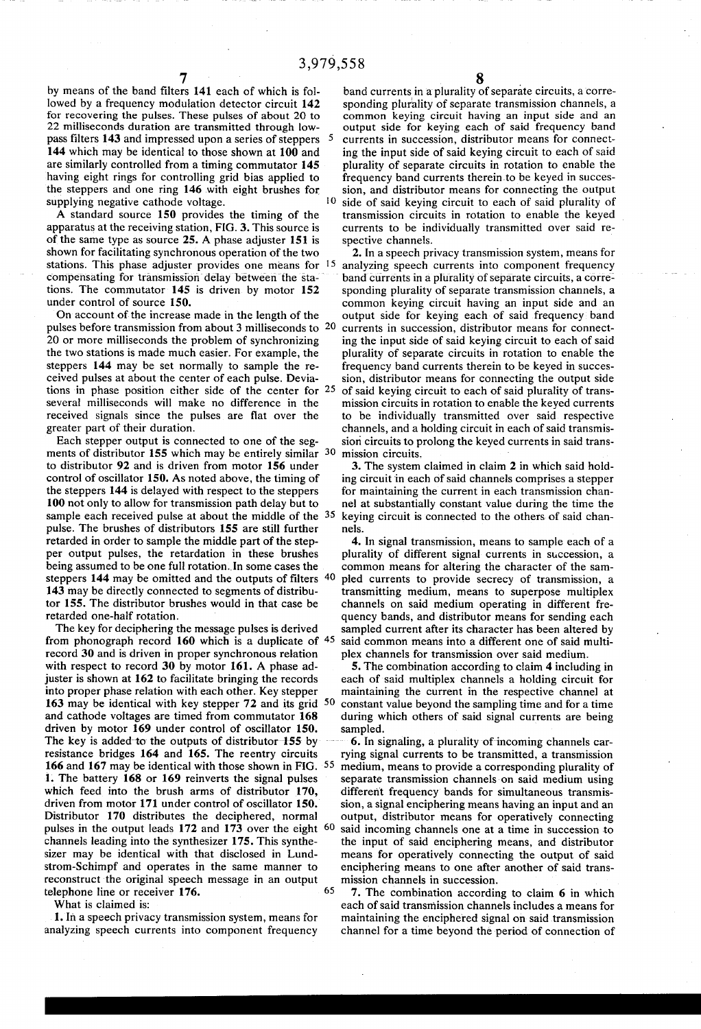by means of the band filters 141 each of which is followed by a frequency modulation detector circuit 142 for recovering the pulses. These pulses of about 20 to 22 milliseconds duration are transmitted through low pass filters 143 and impressed upon a series of steppers 5 144 which may be identical to those shown at 100 and are similarly controlled from a timing commutator 145 having eight rings for controlling grid bias applied to the steppers and one ring 146 with eight brushes for 10 supplying negative cathode voltage.

A standard source 150 provides the timing of the apparatus at the receiving station, FIG. 3. This source is of the same type as source 25. A phase adjuster 151 is shown for facilitating synchronous operation of the two stations. This phase adjuster provides one means for <sup>15</sup> compensating for transmission delay between the stations. The commutator 145 is driven by motor 152 under control of source 150.

On account of the increase made in the length of the pulses before transmission from about 3 milliseconds to 20 20 or more milliseconds the problem of synchronizing the two stations is made much easier. For example, the steppers 144 may be set normally to sample the re ceived pulses at about the center of each pulse. Devia tions in phase position either side of the center for 25 several milliseconds will make no difference in the received signals since the pulses are flat over the greater part of their duration.

Each stepper output is connected to one of the seg ments of distributor 155 which may be entirely similar 30 to distributor 92 and is driven from motor 156 under control of oscillator 150. As noted above, the timing of the steppers 144 is delayed with respect to the steppers 100 not only to allow for transmission path delay but to sample each received pulse at about the middle of the <sup>35</sup> pulse. The brushes of distributors 155 are still further retarded in order to sample the middle part of the step per output pulses, the retardation in these brushes being assumed to be one full rotation. In some cases the steppers  $144$  may be omitted and the outputs of filters  $40$ 143 may be directly connected to segments of distribu tor 155. The distributor brushes would in that case be retarded one-half rotation.

The key for deciphering the message pulses is derived from phonograph record 160 which is a duplicate of 45 record 30 and is driven in proper synchronous relation with respect to record 30 by motor 161. A phase adjuster is shown at 162 to facilitate bringing the records into proper phase relation with each other. Key stepper 163 may be identical with key stepper 72 and its grid 50 and cathode voltages are timed from commutator 168 driven by motor 169 under control of oscillator 150. The key is added to the outputs of distributor  $155$  by resistance bridges 164 and 165. The reentry circuits 166 and 167 may be identical with those shown in FIG. 55 1. The battery 168 or 169 reinverts the signal pulses which feed into the brush arms of distributor 170, driven from motor 171 under control of oscillator 150. Distributor 170 distributes the deciphered, normal pulses in the output leads 172 and 173 over the eight <sup>60</sup> channels leading into the synthesizer 175. This synthe sizer may be identical with that disclosed in Lund strom-Schimpf and operates in the same manner to reconstruct the original speech message in an output telephone line or receiver 176. 65

What is claimed is:

1. In a speech privacy transmission system, means for analyzing speech currents into component frequency

band currents in a plurality of separate circuits, a corre-<br>sponding plurality of separate transmission channels, a common keying circuit having an input side and an output side for keying each of said frequency band currents in succession, distributor means for connect ing the input side of said keying circuit to each of said plurality of separate circuits in rotation to enable the frequency band currents therein to be keyed in succession, and distributor means for connecting the output side of said keying circuit to each of said plurality of transmission circuits in rotation to enable the keyed currents to be individually transmitted over said re spective channels.

2. In a speech privacy transmission system, means for analyzing speech currents into component frequency band currents in a plurality of separate circuits, a corresponding plurality of separate transmission channels, a common keying circuit having an input side and an output side for keying each of said frequency band currents in succession, distributor means for connect ing the input side of said keying circuit to each of said plurality of separate circuits in rotation to enable the frequency band currents therein to be keyed in succes sion, distributor means for connecting the output side of said keying circuit to each of said plurality of trans mission circuits in rotation to enable the keyed currents to be individually transmitted over said respective channels, and a holding circuit in each of said transmis siori circuits to prolong the keyed currents in said trans mission circuits.

3. The system claimed in claim 2 in which said hold ing circuit 'in each of said channels comprises a stepper for maintaining the current in each transmission chan nel at substantially constant value during the time the keying circuit is connected to the others of said chan nels.

4. In signal transmission, means to sample each of a plurality of different signal currents in succession, a common means for altering the character of the sam pled currents to provide secrecy of transmission, a transmitting medium, means to superpose multiplex channels on said medium operating in different fre quency bands, and distributor means for sending each sampled current after its character has been altered by said common means into a different one of said multi plex channels for transmission over said medium.

5. The combination according to claim 4 including in each of said multiplex channels a holding circuit for maintaining the current in the respective channel at constant value beyond the sampling time and for a time during which others of said signal currents are being sampled.

6. In signaling, a plurality of incoming channels carrying signal currents to be transmitted, a transmission medium, means to provide a corresponding plurality of separate transmission channels on said medium using different frequency bands for simultaneous transmis sion, a signal enciphering means having an input and an output, distributor means for operatively connecting said incoming channels one at a time in succession to the input of said enciphering means, and distributor means for operatively connecting the output of said enciphering means to one after another of said trans mission channels in succession.

7. The combination according to claim 6 in which each of said transmission channels includes a means for maintaining the enciphered signal on said transmission channel for a time beyond the period of connection of